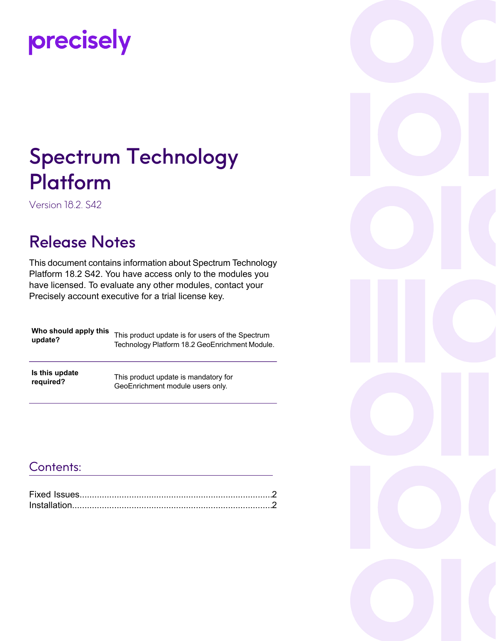# precisely

# Spectrum Technology Platform

Version 18.2. S42

### Release Notes

This document contains information about Spectrum Technology Platform 18.2 S42. You have access only to the modules you have licensed. To evaluate any other modules, contact your Precisely account executive for a trial license key.

| Who should apply this | This product update is for users of the Spectrum |
|-----------------------|--------------------------------------------------|
| update?               | Technology Platform 18.2 GeoEnrichment Module.   |
|                       |                                                  |

**Is this update required?**

This product update is mandatory for GeoEnrichment module users only.

#### Contents:

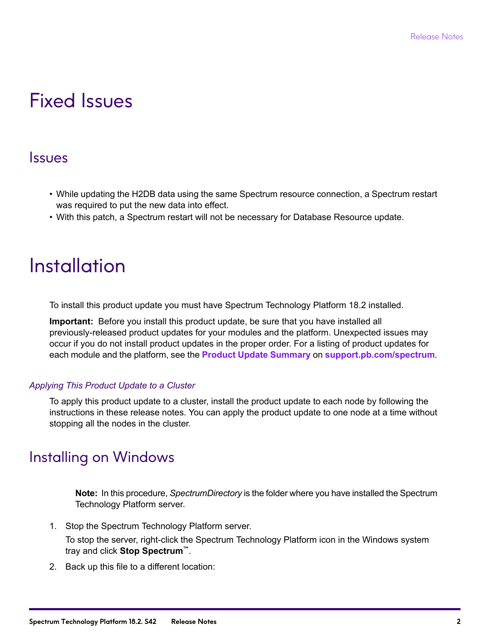## <span id="page-1-0"></span>Fixed Issues

#### Issues

- While updating the H2DB data using the same Spectrum resource connection, a Spectrum restart was required to put the new data into effect.
- With this patch, a Spectrum restart will not be necessary for Database Resource update.

# <span id="page-1-1"></span>**Installation**

To install this product update you must have Spectrum Technology Platform 18.2 installed.

**Important:** Before you install this product update, be sure that you have installed all previously-released product updates for your modules and the platform. Unexpected issues may occur if you do not install product updates in the proper order. For a listing of product updates for each module and the platform, see the **Product Update [Summary](http://support.pb.com/help/spectrum/ProductUpdateSummary/index.html)** on **[support.pb.com/spectrum](http://support.pb.com/spectrum)**.

#### *Applying This Product Update to a Cluster*

To apply this product update to a cluster, install the product update to each node by following the instructions in these release notes. You can apply the product update to one node at a time without stopping all the nodes in the cluster.

#### Installing on Windows

**Note:** In this procedure, *SpectrumDirectory* is the folder where you have installed the Spectrum Technology Platform server.

1. Stop the Spectrum Technology Platform server.

To stop the server, right-click the Spectrum Technology Platform icon in the Windows system tray and click **Stop Spectrum™**.

2. Back up this file to a different location: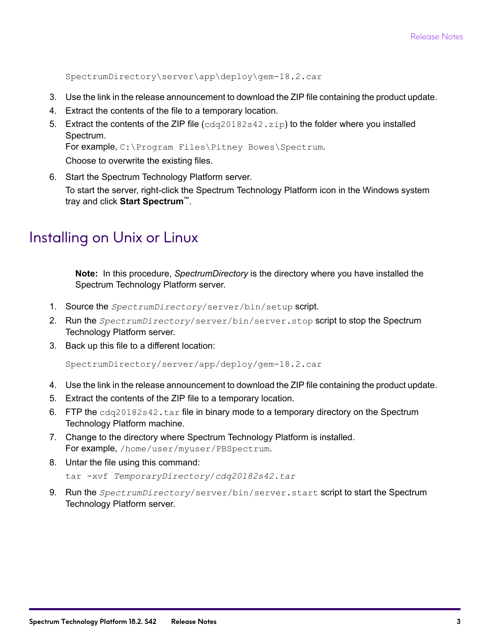SpectrumDirectory\server\app\deploy\gem-18.2.car

- 3. Use the link in the release announcement to download the ZIP file containing the product update.
- 4. Extract the contents of the file to a temporary location.
- 5. Extract the contents of the ZIP file (cdq20182s42.zip) to the folder where you installed Spectrum. For example, C:\Program Files\Pitney Bowes\Spectrum.

Choose to overwrite the existing files.

6. Start the Spectrum Technology Platform server.

To start the server, right-click the Spectrum Technology Platform icon in the Windows system tray and click **Start Spectrum™**.

#### Installing on Unix or Linux

**Note:** In this procedure, *SpectrumDirectory* is the directory where you have installed the Spectrum Technology Platform server.

- 1. Source the *SpectrumDirectory*/server/bin/setup script.
- 2. Run the *SpectrumDirectory*/server/bin/server.stop script to stop the Spectrum Technology Platform server.
- 3. Back up this file to a different location:

SpectrumDirectory/server/app/deploy/gem-18.2.car

- 4. Use the link in the release announcement to download the ZIP file containing the product update.
- 5. Extract the contents of the ZIP file to a temporary location.
- 6. FTP the  $cdq20182s42$ . tar file in binary mode to a temporary directory on the Spectrum Technology Platform machine.
- 7. Change to the directory where Spectrum Technology Platform is installed. For example, /home/user/myuser/PBSpectrum.
- 8. Untar the file using this command:

tar -xvf *TemporaryDirectory*/*cdq20182s42.tar*

9. Run the *SpectrumDirectory*/server/bin/server.start script to start the Spectrum Technology Platform server.